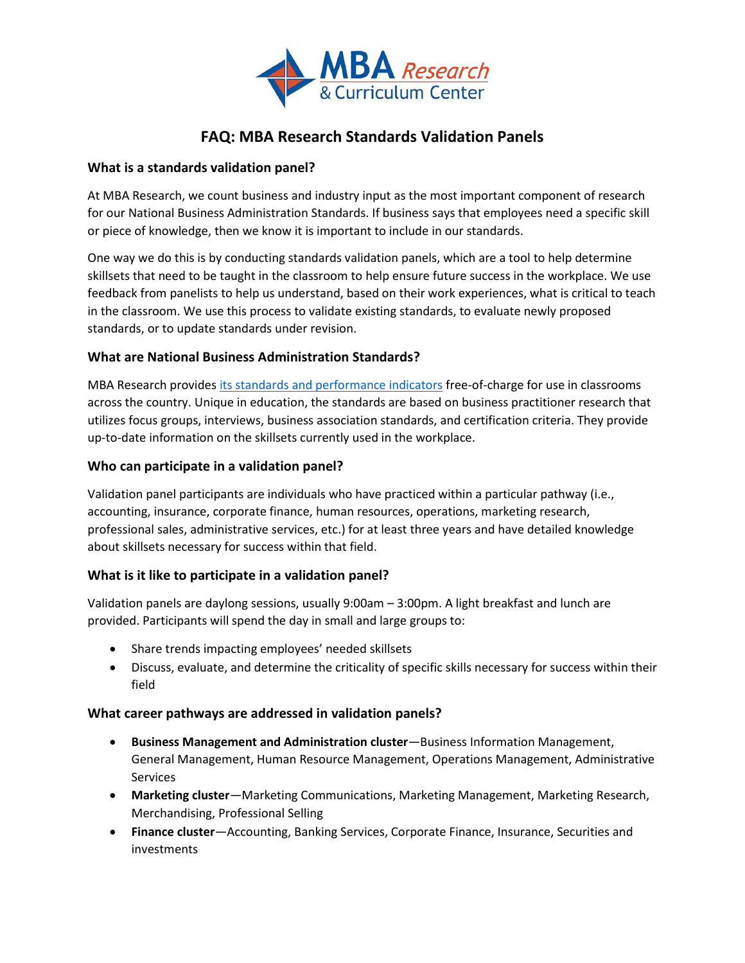

# **FAQ: MBA Research Standards Validation Panels**

## **What is a standards validation panel?**

At MBA Research, we count business and industry input as the most important component of research for our National Business Administration Standards. If business says that employees need a specific skill or piece of knowledge, then we know it is important to include in our standards.

One way we do this is by conducting standards validation panels, which are a tool to help determine skillsets that need to be taught in the classroom to help ensure future success in the workplace. We use feedback from panelists to help us understand, based on their work experiences, what is critical to teach in the classroom. We use this process to validate existing standards, to evaluate newly proposed standards, or to update standards under revision.

## **What are National Business Administration Standards?**

MBA Research provide[s its standards and performance indicators](https://www.mbaresearch.org/local-educators/teaching-resources/standards/) free-of-charge for use in classrooms across the country. Unique in education, the standards are based on business practitioner research that utilizes focus groups, interviews, business association standards, and certification criteria. They provide up-to-date information on the skillsets currently used in the workplace.

### **Who can participate in a validation panel?**

Validation panel participants are individuals who have practiced within a particular pathway (i.e., accounting, insurance, corporate finance, human resources, operations, marketing research, professional sales, administrative services, etc.) for at least three years and have detailed knowledge about skillsets necessary for success within that field.

## **What is it like to participate in a validation panel?**

Validation panels are daylong sessions, usually 9:00am – 3:00pm. A light breakfast and lunch are provided. Participants will spend the day in small and large groups to:

- Share trends impacting employees' needed skillsets
- Discuss, evaluate, and determine the criticality of specific skills necessary for success within their field

#### **What career pathways are addressed in validation panels?**

- **Business Management and Administration cluster**—Business Information Management, General Management, Human Resource Management, Operations Management, Administrative **Services**
- **Marketing cluster**—Marketing Communications, Marketing Management, Marketing Research, Merchandising, Professional Selling
- **Finance cluster**—Accounting, Banking Services, Corporate Finance, Insurance, Securities and investments